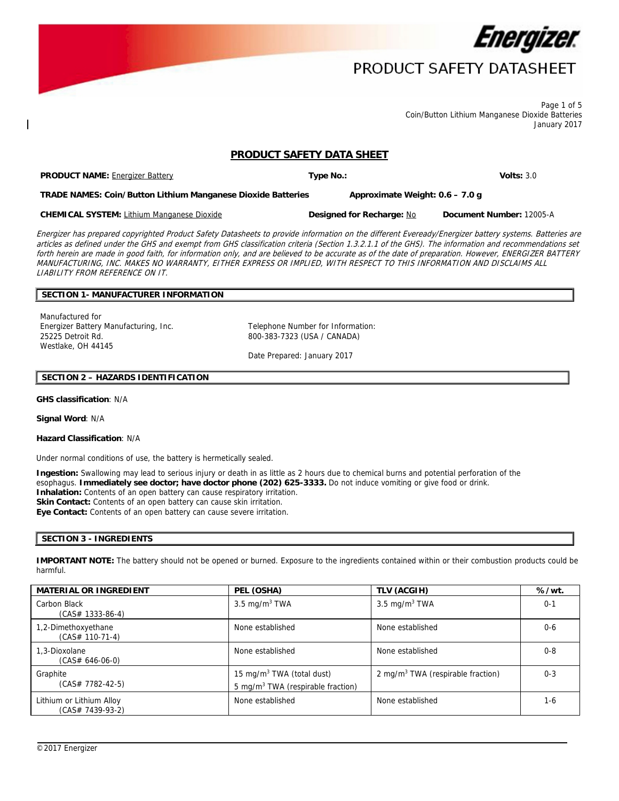

Page 1 of 5 Coin/Button Lithium Manganese Dioxide Batteries January 2017

# **PRODUCT SAFETY DATA SHEET**

**PRODUCT NAME:** Energizer Battery **Type No.: Volts:** 3.0 **TRADE NAMES: Coin/Button Lithium Manganese Dioxide Batteries Approximate Weight: 0.6 – 7.0 g**

**CHEMICAL SYSTEM:** Lithium Manganese Dioxide **Designed for Recharge:** No **Document Number:** 12005-A

Energizer has prepared copyrighted Product Safety Datasheets to provide information on the different Eveready/Energizer battery systems. Batteries are articles as defined under the GHS and exempt from GHS classification criteria (Section 1.3.2.1.1 of the GHS). The information and recommendations set forth herein are made in good faith, for information only, and are believed to be accurate as of the date of preparation. However, ENERGIZER BATTERY MANUFACTURING, INC. MAKES NO WARRANTY, EITHER EXPRESS OR IMPLIED, WITH RESPECT TO THIS INFORMATION AND DISCLAIMS ALL LIABILITY FROM REFERENCE ON IT.

# **SECTION 1- MANUFACTURER INFORMATION**

Manufactured for Energizer Battery Manufacturing, Inc. Telephone Number for Information: 25225 Detroit Rd. Westlake, OH 44145

800-383-7323 (USA / CANADA)

Date Prepared: January 2017

# **SECTION 2 – HAZARDS IDENTIFICATION**

### **GHS classification**: N/A

**Signal Word**: N/A

#### **Hazard Classification**: N/A

Under normal conditions of use, the battery is hermetically sealed.

**Ingestion:** Swallowing may lead to serious injury or death in as little as 2 hours due to chemical burns and potential perforation of the esophagus. **Immediately see doctor; have doctor phone (202) 625-3333.** Do not induce vomiting or give food or drink. **Inhalation:** Contents of an open battery can cause respiratory irritation. **Skin Contact:** Contents of an open battery can cause skin irritation. **Eye Contact:** Contents of an open battery can cause severe irritation.

## **SECTION 3 - INGREDIENTS**

**IMPORTANT NOTE:** The battery should not be opened or burned. Exposure to the ingredients contained within or their combustion products could be harmful.

| <b>MATERIAL OR INGREDIENT</b>                | PEL (OSHA)                                                                             | TLV (ACGIH)                                   | %/wt.   |
|----------------------------------------------|----------------------------------------------------------------------------------------|-----------------------------------------------|---------|
| Carbon Black<br>$(CAS# 1333-86-4)$           | 3.5 mg/m $3$ TWA                                                                       | 3.5 mg/m <sup>3</sup> TWA                     | $0 - 1$ |
| 1,2-Dimethoxyethane<br>$(CAS# 110-71-4)$     | None established                                                                       | None established                              | $0 - 6$ |
| 1.3-Dioxolane<br>$(CAS# 646-06-0)$           | None established                                                                       | None established                              | $0 - 8$ |
| Graphite<br>$(CAS# 7782-42-5)$               | 15 mg/m <sup>3</sup> TWA (total dust)<br>5 mg/m <sup>3</sup> TWA (respirable fraction) | 2 mg/m <sup>3</sup> TWA (respirable fraction) | $0 - 3$ |
| Lithium or Lithium Alloy<br>(CAS# 7439-93-2) | None established                                                                       | None established                              | $1-6$   |

 $\overline{a}$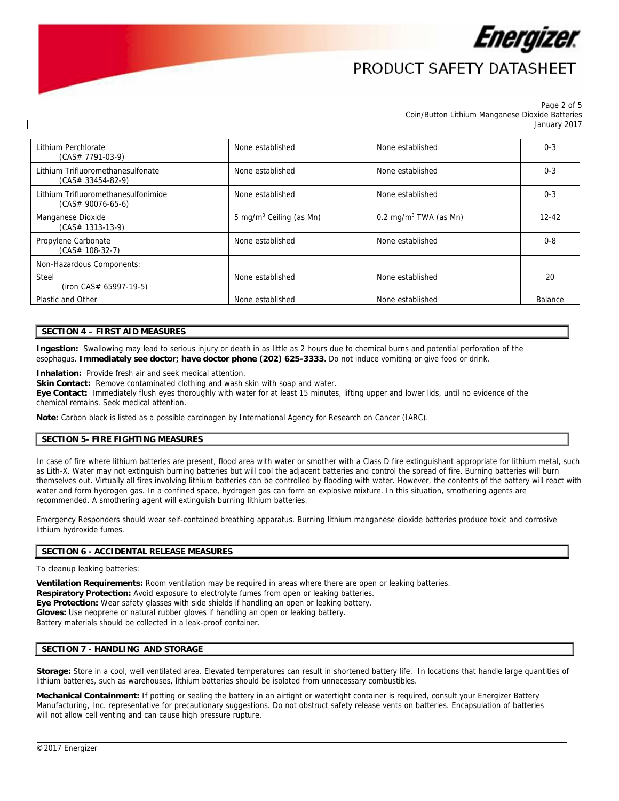

#### Page 2 of 5 Coin/Button Lithium Manganese Dioxide Batteries January 2017

| Lithium Perchlorate<br>$(CAS# 7791-03-9)$                  | None established                    | None established                  | $0 - 3$   |
|------------------------------------------------------------|-------------------------------------|-----------------------------------|-----------|
| Lithium Trifluoromethanesulfonate<br>$(CAS# 33454-82-9)$   | None established                    | None established                  | $0 - 3$   |
| Lithium Trifluoromethanesulfonimide<br>$(CAS# 90076-65-6)$ | None established                    | None established                  | $0 - 3$   |
| Manganese Dioxide<br>$(CAS# 1313-13-9)$                    | 5 mg/m <sup>3</sup> Ceiling (as Mn) | 0.2 mg/m <sup>3</sup> TWA (as Mn) | $12 - 42$ |
| Propylene Carbonate<br>$(CAS# 108-32-7)$                   | None established                    | None established                  | $0 - 8$   |
| Non-Hazardous Components:                                  |                                     |                                   |           |
| Steel<br>$(iron CAS# 65997-19-5)$                          | None established                    | None established                  | 20        |
| Plastic and Other                                          | None established                    | None established                  | Balance   |

## **SECTION 4 – FIRST AID MEASURES**

**Ingestion:** Swallowing may lead to serious injury or death in as little as 2 hours due to chemical burns and potential perforation of the esophagus. **Immediately see doctor; have doctor phone (202) 625-3333.** Do not induce vomiting or give food or drink.

**Inhalation:** Provide fresh air and seek medical attention.

Skin Contact: Remove contaminated clothing and wash skin with soap and water.

**Eye Contact:** Immediately flush eyes thoroughly with water for at least 15 minutes, lifting upper and lower lids, until no evidence of the chemical remains. Seek medical attention.

**Note:** Carbon black is listed as a possible carcinogen by International Agency for Research on Cancer (IARC).

### **SECTION 5- FIRE FIGHTING MEASURES**

In case of fire where lithium batteries are present, flood area with water or smother with a Class D fire extinguishant appropriate for lithium metal, such as Lith-X. Water may not extinguish burning batteries but will cool the adjacent batteries and control the spread of fire. Burning batteries will burn themselves out. Virtually all fires involving lithium batteries can be controlled by flooding with water. However, the contents of the battery will react with water and form hydrogen gas. In a confined space, hydrogen gas can form an explosive mixture. In this situation, smothering agents are recommended. A smothering agent will extinguish burning lithium batteries.

Emergency Responders should wear self-contained breathing apparatus. Burning lithium manganese dioxide batteries produce toxic and corrosive lithium hydroxide fumes.

### **SECTION 6 - ACCIDENTAL RELEASE MEASURES**

To cleanup leaking batteries:

**Ventilation Requirements:** Room ventilation may be required in areas where there are open or leaking batteries. **Respiratory Protection:** Avoid exposure to electrolyte fumes from open or leaking batteries. **Eye Protection:** Wear safety glasses with side shields if handling an open or leaking battery. **Gloves:** Use neoprene or natural rubber gloves if handling an open or leaking battery. Battery materials should be collected in a leak-proof container.

### **SECTION 7 - HANDLING AND STORAGE**

**Storage:** Store in a cool, well ventilated area. Elevated temperatures can result in shortened battery life. In locations that handle large quantities of lithium batteries, such as warehouses, lithium batteries should be isolated from unnecessary combustibles.

 $\overline{a}$ 

**Mechanical Containment:** If potting or sealing the battery in an airtight or watertight container is required, consult your Energizer Battery Manufacturing, Inc. representative for precautionary suggestions. Do not obstruct safety release vents on batteries. Encapsulation of batteries will not allow cell venting and can cause high pressure rupture.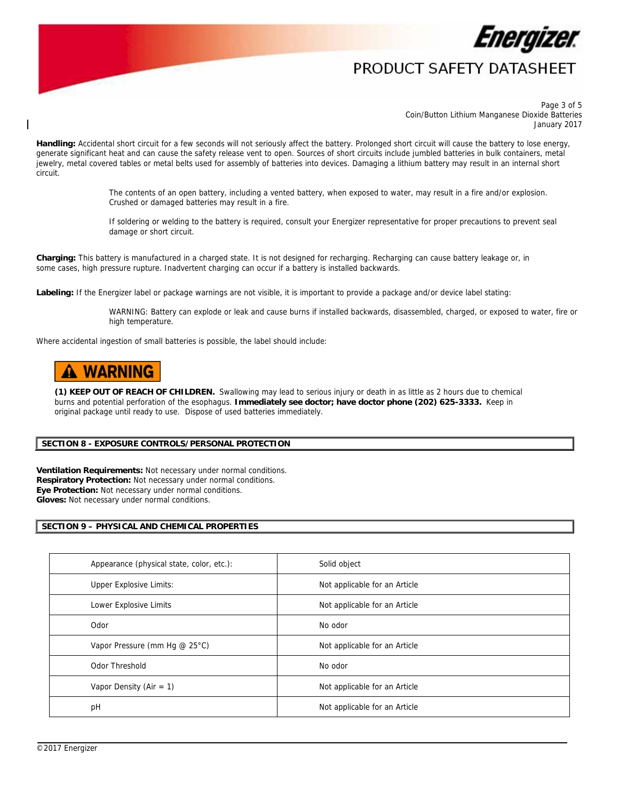

Page 3 of 5 Coin/Button Lithium Manganese Dioxide Batteries January 2017

Handling: Accidental short circuit for a few seconds will not seriously affect the battery. Prolonged short circuit will cause the battery to lose energy, generate significant heat and can cause the safety release vent to open. Sources of short circuits include jumbled batteries in bulk containers, metal jewelry, metal covered tables or metal belts used for assembly of batteries into devices. Damaging a lithium battery may result in an internal short circuit.

> The contents of an open battery, including a vented battery, when exposed to water, may result in a fire and/or explosion. Crushed or damaged batteries may result in a fire.

If soldering or welding to the battery is required, consult your Energizer representative for proper precautions to prevent seal damage or short circuit.

**Charging:** This battery is manufactured in a charged state. It is not designed for recharging. Recharging can cause battery leakage or, in some cases, high pressure rupture. Inadvertent charging can occur if a battery is installed backwards.

**Labeling:** If the Energizer label or package warnings are not visible, it is important to provide a package and/or device label stating:

WARNING: Battery can explode or leak and cause burns if installed backwards, disassembled, charged, or exposed to water, fire or high temperature.

Where accidental ingestion of small batteries is possible, the label should include:

# **A WARNING**

**(1) KEEP OUT OF REACH OF CHILDREN.** Swallowing may lead to serious injury or death in as little as 2 hours due to chemical burns and potential perforation of the esophagus. **Immediately see doctor; have doctor phone (202) 625-3333.** Keep in original package until ready to use. Dispose of used batteries immediately.

### **SECTION 8 - EXPOSURE CONTROLS/PERSONAL PROTECTION**

**Ventilation Requirements:** Not necessary under normal conditions. **Respiratory Protection:** Not necessary under normal conditions. **Eye Protection:** Not necessary under normal conditions. **Gloves:** Not necessary under normal conditions.

## **SECTION 9 – PHYSICAL AND CHEMICAL PROPERTIES**

| Appearance (physical state, color, etc.): | Solid object                  |
|-------------------------------------------|-------------------------------|
| <b>Upper Explosive Limits:</b>            | Not applicable for an Article |
| Lower Explosive Limits                    | Not applicable for an Article |
| Odor                                      | No odor                       |
| Vapor Pressure (mm Hg @ 25°C)             | Not applicable for an Article |
| Odor Threshold                            | No odor                       |
| Vapor Density (Air = $1$ )                | Not applicable for an Article |
| pH                                        | Not applicable for an Article |

 $\overline{a}$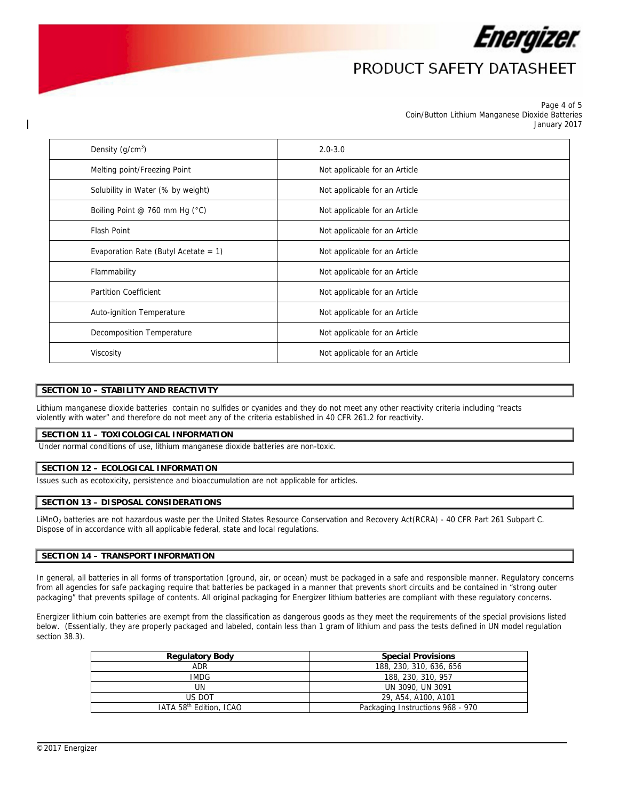

#### Page 4 of 5 Coin/Button Lithium Manganese Dioxide Batteries January 2017

| Density $(q/cm^3)$                      | $2.0 - 3.0$                   |
|-----------------------------------------|-------------------------------|
| Melting point/Freezing Point            | Not applicable for an Article |
| Solubility in Water (% by weight)       | Not applicable for an Article |
| Boiling Point @ 760 mm Hg (°C)          | Not applicable for an Article |
| Flash Point                             | Not applicable for an Article |
| Evaporation Rate (Butyl Acetate = $1$ ) | Not applicable for an Article |
| Flammability                            | Not applicable for an Article |
| <b>Partition Coefficient</b>            | Not applicable for an Article |
| Auto-ignition Temperature               | Not applicable for an Article |
| Decomposition Temperature               | Not applicable for an Article |
| Viscosity                               | Not applicable for an Article |

# **SECTION 10 – STABILITY AND REACTIVITY**

Lithium manganese dioxide batteries contain no sulfides or cyanides and they do not meet any other reactivity criteria including "reacts violently with water" and therefore do not meet any of the criteria established in 40 CFR 261.2 for reactivity.

### **SECTION 11 – TOXICOLOGICAL INFORMATION**

Under normal conditions of use, lithium manganese dioxide batteries are non-toxic.

### **SECTION 12 – ECOLOGICAL INFORMATION**

Issues such as ecotoxicity, persistence and bioaccumulation are not applicable for articles.

### **SECTION 13 – DISPOSAL CONSIDERATIONS**

LiMnO2 batteries are not hazardous waste per the United States Resource Conservation and Recovery Act(RCRA) - 40 CFR Part 261 Subpart C. Dispose of in accordance with all applicable federal, state and local regulations.

## **SECTION 14 – TRANSPORT INFORMATION**

In general, all batteries in all forms of transportation (ground, air, or ocean) must be packaged in a safe and responsible manner. Regulatory concerns from all agencies for safe packaging require that batteries be packaged in a manner that prevents short circuits and be contained in "strong outer packaging" that prevents spillage of contents. All original packaging for Energizer lithium batteries are compliant with these regulatory concerns.

Energizer lithium coin batteries are exempt from the classification as dangerous goods as they meet the requirements of the special provisions listed below. (Essentially, they are properly packaged and labeled, contain less than 1 gram of lithium and pass the tests defined in UN model regulation section 38.3).

| <b>Regulatory Body</b>              | <b>Special Provisions</b>        |  |  |
|-------------------------------------|----------------------------------|--|--|
| ADR                                 | 188, 230, 310, 636, 656          |  |  |
| IMDG.                               | 188, 230, 310, 957               |  |  |
| UN                                  | UN 3090, UN 3091                 |  |  |
| US DOT                              | 29, A54, A100, A101              |  |  |
| IATA 58 <sup>th</sup> Edition, ICAO | Packaging Instructions 968 - 970 |  |  |

 $\overline{a}$